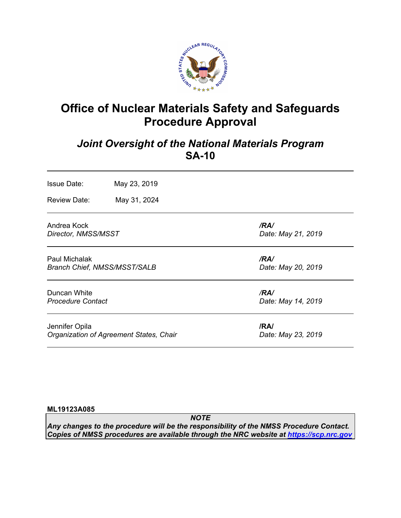

# **Office of Nuclear Materials Safety and Safeguards Procedure Approval**

## *Joint Oversight of the National Materials Program* **SA-10**

| <b>Issue Date:</b><br><b>Review Date:</b>                   | May 23, 2019<br>May 31, 2024            |                            |
|-------------------------------------------------------------|-----------------------------------------|----------------------------|
| Andrea Kock<br>Director, NMSS/MSST                          |                                         | /RA/<br>Date: May 21, 2019 |
| <b>Paul Michalak</b><br><b>Branch Chief, NMSS/MSST/SALB</b> |                                         | /RA/<br>Date: May 20, 2019 |
| Duncan White<br><b>Procedure Contact</b>                    |                                         | /RA/<br>Date: May 14, 2019 |
| Jennifer Opila                                              | Organization of Agreement States, Chair | /RA/<br>Date: May 23, 2019 |

#### **ML19123A085**

*NOTE Any changes to the procedure will be the responsibility of the NMSS Procedure Contact. Copies of NMSS procedures are available through the NRC website at https://scp.nrc.gov*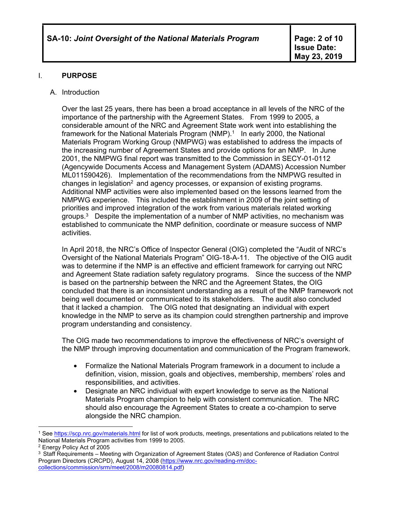### I. **PURPOSE**

#### A. Introduction

Over the last 25 years, there has been a broad acceptance in all levels of the NRC of the importance of the partnership with the Agreement States. From 1999 to 2005, a considerable amount of the NRC and Agreement State work went into establishing the framework for the National Materials Program (NMP).<sup>1</sup> In early 2000, the National Materials Program Working Group (NMPWG) was established to address the impacts of the increasing number of Agreement States and provide options for an NMP. In June 2001, the NMPWG final report was transmitted to the Commission in SECY-01-0112 (Agencywide Documents Access and Management System (ADAMS) Accession Number ML011590426). Implementation of the recommendations from the NMPWG resulted in changes in legislation<sup>2</sup> and agency processes, or expansion of existing programs. Additional NMP activities were also implemented based on the lessons learned from the NMPWG experience. This included the establishment in 2009 of the joint setting of priorities and improved integration of the work from various materials related working groups.3 Despite the implementation of a number of NMP activities, no mechanism was established to communicate the NMP definition, coordinate or measure success of NMP activities.

In April 2018, the NRC's Office of Inspector General (OIG) completed the "Audit of NRC's Oversight of the National Materials Program" OIG-18-A-11. The objective of the OIG audit was to determine if the NMP is an effective and efficient framework for carrying out NRC and Agreement State radiation safety regulatory programs. Since the success of the NMP is based on the partnership between the NRC and the Agreement States, the OIG concluded that there is an inconsistent understanding as a result of the NMP framework not being well documented or communicated to its stakeholders. The audit also concluded that it lacked a champion. The OIG noted that designating an individual with expert knowledge in the NMP to serve as its champion could strengthen partnership and improve program understanding and consistency.

The OIG made two recommendations to improve the effectiveness of NRC's oversight of the NMP through improving documentation and communication of the Program framework.

- Formalize the National Materials Program framework in a document to include a definition, vision, mission, goals and objectives, membership, members' roles and responsibilities, and activities.
- Designate an NRC individual with expert knowledge to serve as the National Materials Program champion to help with consistent communication. The NRC should also encourage the Agreement States to create a co-champion to serve alongside the NRC champion.

 $\overline{a}$ <sup>1</sup> See https://scp.nrc.gov/materials.html for list of work products, meetings, presentations and publications related to the National Materials Program activities from 1999 to 2005.

<sup>2</sup> Energy Policy Act of 2005

<sup>3</sup> Staff Requirements – Meeting with Organization of Agreement States (OAS) and Conference of Radiation Control Program Directors (CRCPD), August 14, 2008 (https://www.nrc.gov/reading-rm/doccollections/commission/srm/meet/2008/m20080814.pdf)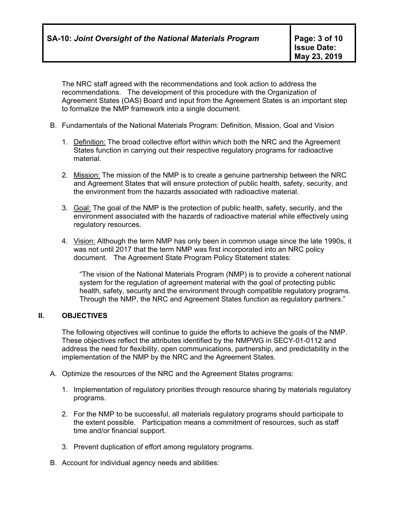The NRC staff agreed with the recommendations and took action to address the recommendations. The development of this procedure with the Organization of Agreement States (OAS) Board and input from the Agreement States is an important step to formalize the NMP framework into a single document.

- B. Fundamentals of the National Materials Program: Definition, Mission, Goal and Vision
	- 1. Definition: The broad collective effort within which both the NRC and the Agreement States function in carrying out their respective regulatory programs for radioactive material.
	- 2. Mission: The mission of the NMP is to create a genuine partnership between the NRC and Agreement States that will ensure protection of public health, safety, security, and the environment from the hazards associated with radioactive material.
	- 3. Goal: The goal of the NMP is the protection of public health, safety, security, and the environment associated with the hazards of radioactive material while effectively using regulatory resources.
	- 4. Vision: Although the term NMP has only been in common usage since the late 1990s, it was not until 2017 that the term NMP was first incorporated into an NRC policy document. The Agreement State Program Policy Statement states:

"The vision of the National Materials Program (NMP) is to provide a coherent national system for the regulation of agreement material with the goal of protecting public health, safety, security and the environment through compatible regulatory programs. Through the NMP, the NRC and Agreement States function as regulatory partners."

#### **II. OBJECTIVES**

The following objectives will continue to guide the efforts to achieve the goals of the NMP. These objectives reflect the attributes identified by the NMPWG in SECY-01-0112 and address the need for flexibility, open communications, partnership, and predictability in the implementation of the NMP by the NRC and the Agreement States.

- A. Optimize the resources of the NRC and the Agreement States programs:
	- 1. Implementation of regulatory priorities through resource sharing by materials regulatory programs.
	- 2. For the NMP to be successful, all materials regulatory programs should participate to the extent possible. Participation means a commitment of resources, such as staff time and/or financial support.
	- 3. Prevent duplication of effort among regulatory programs.
- B. Account for individual agency needs and abilities: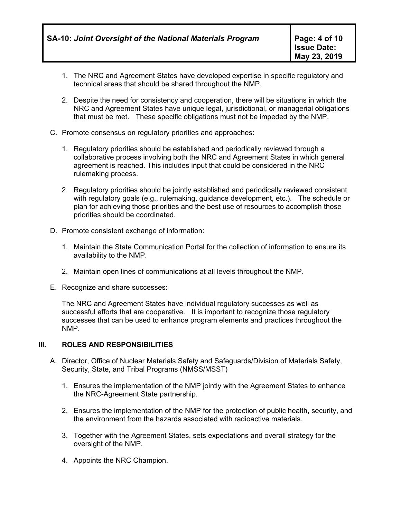- 1. The NRC and Agreement States have developed expertise in specific regulatory and technical areas that should be shared throughout the NMP.
- 2. Despite the need for consistency and cooperation, there will be situations in which the NRC and Agreement States have unique legal, jurisdictional, or managerial obligations that must be met. These specific obligations must not be impeded by the NMP.
- C. Promote consensus on regulatory priorities and approaches:
	- 1. Regulatory priorities should be established and periodically reviewed through a collaborative process involving both the NRC and Agreement States in which general agreement is reached. This includes input that could be considered in the NRC rulemaking process.
	- 2. Regulatory priorities should be jointly established and periodically reviewed consistent with regulatory goals (e.g., rulemaking, guidance development, etc.). The schedule or plan for achieving those priorities and the best use of resources to accomplish those priorities should be coordinated.
- D. Promote consistent exchange of information:
	- 1. Maintain the State Communication Portal for the collection of information to ensure its availability to the NMP.
	- 2. Maintain open lines of communications at all levels throughout the NMP.
- E. Recognize and share successes:

The NRC and Agreement States have individual regulatory successes as well as successful efforts that are cooperative. It is important to recognize those regulatory successes that can be used to enhance program elements and practices throughout the NMP.

#### **III. ROLES AND RESPONSIBILITIES**

- A. Director, Office of Nuclear Materials Safety and Safeguards/Division of Materials Safety, Security, State, and Tribal Programs (NMSS/MSST)
	- 1. Ensures the implementation of the NMP jointly with the Agreement States to enhance the NRC-Agreement State partnership.
	- 2. Ensures the implementation of the NMP for the protection of public health, security, and the environment from the hazards associated with radioactive materials.
	- 3. Together with the Agreement States, sets expectations and overall strategy for the oversight of the NMP.
	- 4. Appoints the NRC Champion.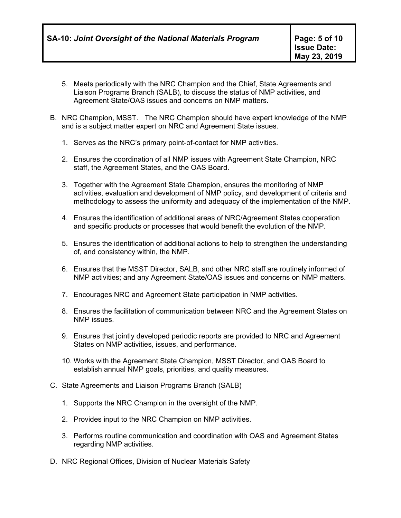- 5. Meets periodically with the NRC Champion and the Chief, State Agreements and Liaison Programs Branch (SALB), to discuss the status of NMP activities, and Agreement State/OAS issues and concerns on NMP matters.
- B. NRC Champion, MSST. The NRC Champion should have expert knowledge of the NMP and is a subject matter expert on NRC and Agreement State issues.
	- 1. Serves as the NRC's primary point-of-contact for NMP activities.
	- 2. Ensures the coordination of all NMP issues with Agreement State Champion, NRC staff, the Agreement States, and the OAS Board.
	- 3. Together with the Agreement State Champion, ensures the monitoring of NMP activities, evaluation and development of NMP policy, and development of criteria and methodology to assess the uniformity and adequacy of the implementation of the NMP.
	- 4. Ensures the identification of additional areas of NRC/Agreement States cooperation and specific products or processes that would benefit the evolution of the NMP.
	- 5. Ensures the identification of additional actions to help to strengthen the understanding of, and consistency within, the NMP.
	- 6. Ensures that the MSST Director, SALB, and other NRC staff are routinely informed of NMP activities; and any Agreement State/OAS issues and concerns on NMP matters.
	- 7. Encourages NRC and Agreement State participation in NMP activities.
	- 8. Ensures the facilitation of communication between NRC and the Agreement States on NMP issues.
	- 9. Ensures that jointly developed periodic reports are provided to NRC and Agreement States on NMP activities, issues, and performance.
	- 10. Works with the Agreement State Champion, MSST Director, and OAS Board to establish annual NMP goals, priorities, and quality measures.
- C. State Agreements and Liaison Programs Branch (SALB)
	- 1. Supports the NRC Champion in the oversight of the NMP.
	- 2. Provides input to the NRC Champion on NMP activities.
	- 3. Performs routine communication and coordination with OAS and Agreement States regarding NMP activities.
- D. NRC Regional Offices, Division of Nuclear Materials Safety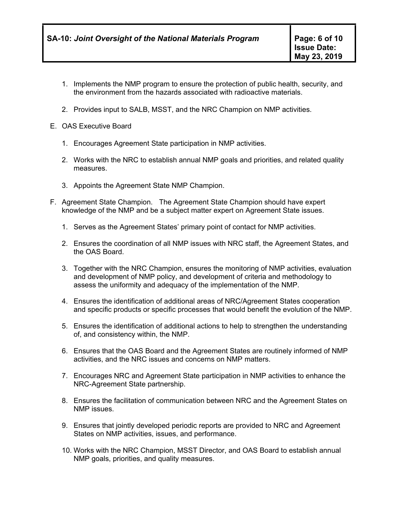- 1. Implements the NMP program to ensure the protection of public health, security, and the environment from the hazards associated with radioactive materials.
- 2. Provides input to SALB, MSST, and the NRC Champion on NMP activities.
- E. OAS Executive Board
	- 1. Encourages Agreement State participation in NMP activities.
	- 2. Works with the NRC to establish annual NMP goals and priorities, and related quality measures.
	- 3. Appoints the Agreement State NMP Champion.
- F. Agreement State Champion. The Agreement State Champion should have expert knowledge of the NMP and be a subject matter expert on Agreement State issues.
	- 1. Serves as the Agreement States' primary point of contact for NMP activities.
	- 2. Ensures the coordination of all NMP issues with NRC staff, the Agreement States, and the OAS Board.
	- 3. Together with the NRC Champion, ensures the monitoring of NMP activities, evaluation and development of NMP policy, and development of criteria and methodology to assess the uniformity and adequacy of the implementation of the NMP.
	- 4. Ensures the identification of additional areas of NRC/Agreement States cooperation and specific products or specific processes that would benefit the evolution of the NMP.
	- 5. Ensures the identification of additional actions to help to strengthen the understanding of, and consistency within, the NMP.
	- 6. Ensures that the OAS Board and the Agreement States are routinely informed of NMP activities, and the NRC issues and concerns on NMP matters.
	- 7. Encourages NRC and Agreement State participation in NMP activities to enhance the NRC-Agreement State partnership.
	- 8. Ensures the facilitation of communication between NRC and the Agreement States on NMP issues.
	- 9. Ensures that jointly developed periodic reports are provided to NRC and Agreement States on NMP activities, issues, and performance.
	- 10. Works with the NRC Champion, MSST Director, and OAS Board to establish annual NMP goals, priorities, and quality measures.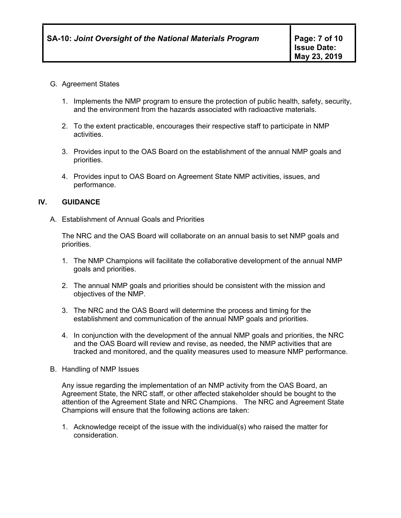#### G. Agreement States

- 1. Implements the NMP program to ensure the protection of public health, safety, security, and the environment from the hazards associated with radioactive materials.
- 2. To the extent practicable, encourages their respective staff to participate in NMP activities.
- 3. Provides input to the OAS Board on the establishment of the annual NMP goals and priorities.
- 4. Provides input to OAS Board on Agreement State NMP activities, issues, and performance.

#### **IV. GUIDANCE**

A. Establishment of Annual Goals and Priorities

The NRC and the OAS Board will collaborate on an annual basis to set NMP goals and priorities.

- 1. The NMP Champions will facilitate the collaborative development of the annual NMP goals and priorities.
- 2. The annual NMP goals and priorities should be consistent with the mission and objectives of the NMP.
- 3. The NRC and the OAS Board will determine the process and timing for the establishment and communication of the annual NMP goals and priorities.
- 4. In conjunction with the development of the annual NMP goals and priorities, the NRC and the OAS Board will review and revise, as needed, the NMP activities that are tracked and monitored, and the quality measures used to measure NMP performance.
- B. Handling of NMP Issues

Any issue regarding the implementation of an NMP activity from the OAS Board, an Agreement State, the NRC staff, or other affected stakeholder should be bought to the attention of the Agreement State and NRC Champions. The NRC and Agreement State Champions will ensure that the following actions are taken:

1. Acknowledge receipt of the issue with the individual(s) who raised the matter for consideration.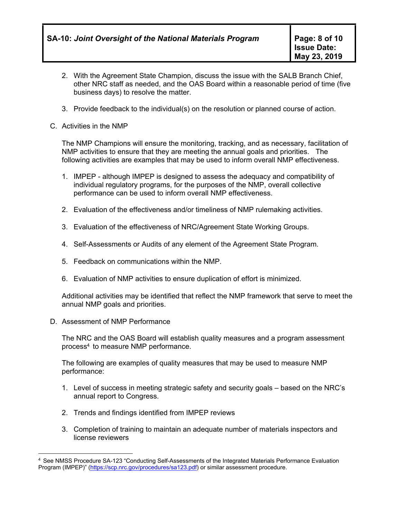- 2. With the Agreement State Champion, discuss the issue with the SALB Branch Chief, other NRC staff as needed, and the OAS Board within a reasonable period of time (five business days) to resolve the matter.
- 3. Provide feedback to the individual(s) on the resolution or planned course of action.
- C. Activities in the NMP

The NMP Champions will ensure the monitoring, tracking, and as necessary, facilitation of NMP activities to ensure that they are meeting the annual goals and priorities. The following activities are examples that may be used to inform overall NMP effectiveness.

- 1. IMPEP although IMPEP is designed to assess the adequacy and compatibility of individual regulatory programs, for the purposes of the NMP, overall collective performance can be used to inform overall NMP effectiveness.
- 2. Evaluation of the effectiveness and/or timeliness of NMP rulemaking activities.
- 3. Evaluation of the effectiveness of NRC/Agreement State Working Groups.
- 4. Self-Assessments or Audits of any element of the Agreement State Program.
- 5. Feedback on communications within the NMP.
- 6. Evaluation of NMP activities to ensure duplication of effort is minimized.

Additional activities may be identified that reflect the NMP framework that serve to meet the annual NMP goals and priorities.

D. Assessment of NMP Performance

 $\overline{a}$ 

The NRC and the OAS Board will establish quality measures and a program assessment process4 to measure NMP performance.

The following are examples of quality measures that may be used to measure NMP performance:

- 1. Level of success in meeting strategic safety and security goals based on the NRC's annual report to Congress.
- 2. Trends and findings identified from IMPEP reviews
- 3. Completion of training to maintain an adequate number of materials inspectors and license reviewers

<sup>4</sup> See NMSS Procedure SA-123 "Conducting Self-Assessments of the Integrated Materials Performance Evaluation Program (IMPEP)" (https://scp.nrc.gov/procedures/sa123.pdf) or similar assessment procedure.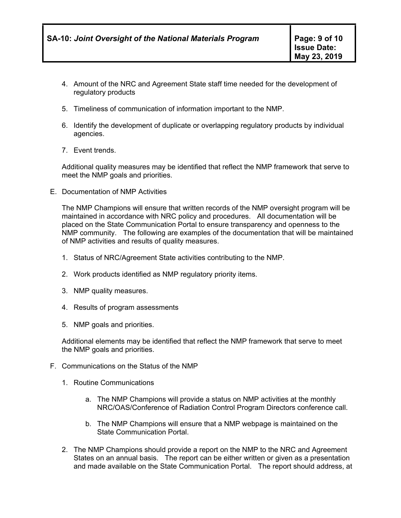- 4. Amount of the NRC and Agreement State staff time needed for the development of regulatory products
- 5. Timeliness of communication of information important to the NMP.
- 6. Identify the development of duplicate or overlapping regulatory products by individual agencies.
- 7. Event trends.

Additional quality measures may be identified that reflect the NMP framework that serve to meet the NMP goals and priorities.

E. Documentation of NMP Activities

The NMP Champions will ensure that written records of the NMP oversight program will be maintained in accordance with NRC policy and procedures. All documentation will be placed on the State Communication Portal to ensure transparency and openness to the NMP community. The following are examples of the documentation that will be maintained of NMP activities and results of quality measures.

- 1. Status of NRC/Agreement State activities contributing to the NMP.
- 2. Work products identified as NMP regulatory priority items.
- 3. NMP quality measures.
- 4. Results of program assessments
- 5. NMP goals and priorities.

Additional elements may be identified that reflect the NMP framework that serve to meet the NMP goals and priorities.

- F. Communications on the Status of the NMP
	- 1. Routine Communications
		- a. The NMP Champions will provide a status on NMP activities at the monthly NRC/OAS/Conference of Radiation Control Program Directors conference call.
		- b. The NMP Champions will ensure that a NMP webpage is maintained on the State Communication Portal.
	- 2. The NMP Champions should provide a report on the NMP to the NRC and Agreement States on an annual basis. The report can be either written or given as a presentation and made available on the State Communication Portal. The report should address, at